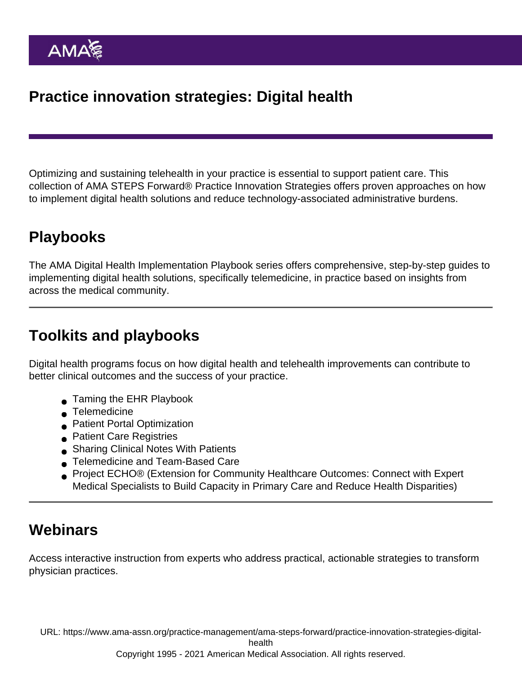Optimizing and sustaining telehealth in your practice is essential to support patient care. This collection of AMA STEPS Forward® Practice Innovation Strategies offers proven approaches on how to implement digital health solutions and reduce technology-associated administrative burdens.

# Playbooks

The AMA Digital Health Implementation Playbook series offers comprehensive, step-by-step guides to implementing digital health solutions, specifically telemedicine, in practice based on insights from across the medical community.

## Toolkits and playbooks

Digital health programs focus on how digital health and telehealth improvements can contribute to better clinical outcomes and the success of your practice.

- [Taming the EHR Playbook](https://www.ama-assn.org/practice-management/ama-steps-forward/taming-ehr-playbook)
- [Telemedicine](https://edhub.ama-assn.org/steps-forward/module/2702689)
- **[Patient Portal Optimization](https://edhub.ama-assn.org/steps-forward/module/2767762)**
- **[Patient Care Registries](https://edhub.ama-assn.org/steps-forward/module/2702745)**
- **[Sharing Clinical Notes With Patients](https://edhub.ama-assn.org/steps-forward/module/2781026)**
- [Telemedicine and Team-Based Care](https://wwwstage.ama-assn.org/practice-management/ama-steps-forward/telemedicine-and-team-based-care-toolkit)
- Project ECHO<sup>®</sup> (Extension for Community Healthcare Outcomes: Connect with Expert [Medical Specialists to Build Capacity in Primary Care and Reduce Health Disparities\)](https://edhub.ama-assn.org/steps-forward/module/2702692)

## **Webinars**

Access interactive instruction from experts who address practical, actionable strategies to transform physician practices.

URL: [https://www.ama-assn.org/practice-management/ama-steps-forward/practice-innovation-strategies-digital-](https://www.ama-assn.org/practice-management/ama-steps-forward/practice-innovation-strategies-digital-health)

[health](https://www.ama-assn.org/practice-management/ama-steps-forward/practice-innovation-strategies-digital-health)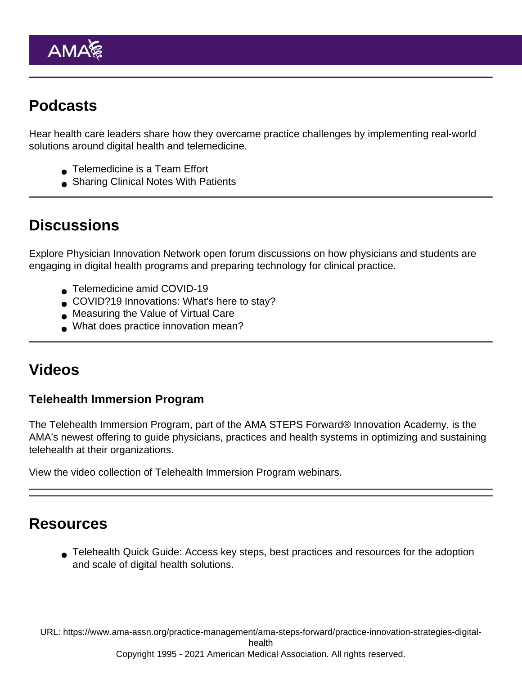### Podcasts

Hear health care leaders share how they overcame practice challenges by implementing real-world solutions around digital health and telemedicine.

- [Telemedicine is a Team Effort](https://spoti.fi/36Z1rLa)
- **[Sharing Clinical Notes With Patients](https://spoti.fi/3q7epxq)**

#### **Discussions**

Explore Physician Innovation Network open forum discussions on how physicians and students are engaging in digital health programs and preparing technology for clinical practice.

- [Telemedicine amid COVID-19](https://innovationmatch.ama-assn.org/groups/ama-physician-innovation-network-public-area/discussions/Telemedicine-amid-COVID-19)
- [COVID?19 Innovations: What's here to stay?](https://innovationmatch.ama-assn.org/groups/ama-physician-innovation-network-public-area/discussions/covid-19-innovations-what-were-the-best-innovations-of-2020-and-what-is-here-to-stay)
- [Measuring the Value of Virtual Care](https://innovationmatch.ama-assn.org/groups/ama-physician-innovation-network-public-area/discussions/measuring-the-value-of-virtual-care)
- [What does practice innovation mean?](https://innovationmatch.ama-assn.org/groups/ama-physician-innovation-network-public-area/discussions/804)

#### Videos

Telehealth Immersion Program

The [Telehealth Immersion Program,](https://www.ama-assn.org/practice-management/digital/ama-telehealth-immersion-program) part of the AMA STEPS Forward® Innovation Academy, is the AMA's newest offering to guide physicians, practices and health systems in optimizing and sustaining telehealth at their organizations.

[View the video collection of Telehealth Immersion Program webinars](https://youtube.com/playlist?list=PL7ZHBCvG4qseGRvYbr0GjJ5WQf_GSjSnc).

#### Resources

[Telehealth Quick Guide](https://www.ama-assn.org/practice-management/digital/ama-telehealth-quick-guide): Access key steps, best practices and resources for the adoption and scale of digital health solutions.

URL: [https://www.ama-assn.org/practice-management/ama-steps-forward/practice-innovation-strategies-digital](https://www.ama-assn.org/practice-management/ama-steps-forward/practice-innovation-strategies-digital-health)[health](https://www.ama-assn.org/practice-management/ama-steps-forward/practice-innovation-strategies-digital-health)